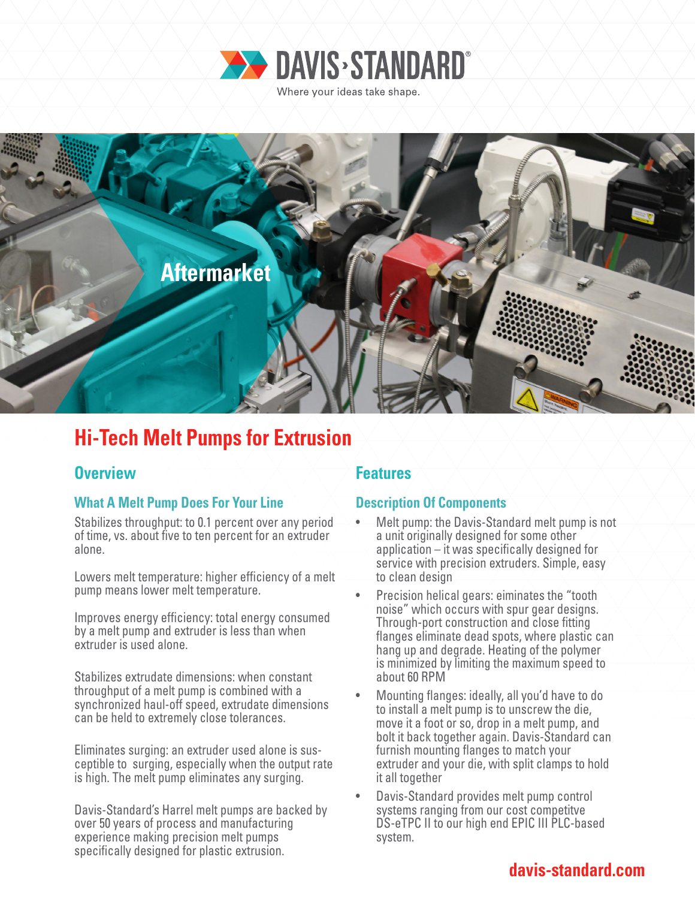



# **Hi-Tech Melt Pumps for Extrusion**

# **Overview Features**

## **What A Melt Pump Does For Your Line**

Stabilizes throughput: to 0.1 percent over any period of time, vs. about five to ten percent for an extruder alone.

Lowers melt temperature: higher efficiency of a melt pump means lower melt temperature.

Improves energy efficiency: total energy consumed by a melt pump and extruder is less than when extruder is used alone.

Stabilizes extrudate dimensions: when constant throughput of a melt pump is combined with a synchronized haul-off speed, extrudate dimensions can be held to extremely close tolerances.

Eliminates surging: an extruder used alone is sus ceptible to surging, especially when the output rate is high. The melt pump eliminates any surging.

Davis-Standard's Harrel melt pumps are backed by over 50 years of process and manufacturing experience making precision melt pumps specifically designed for plastic extrusion.

# **Description Of Components**

- Melt pump: the Davis-Standard melt pump is not a unit originally designed for some other application – it was specifically designed for service with precision extruders. Simple, easy to clean design
- Precision helical gears: eiminates the "tooth noise" which occurs with spur gear designs. Through-port construction and close fitting flanges eliminate dead spots, where plastic can hang up and degrade. Heating of the polymer is minimized by limiting the maximum speed to about 60 RPM
- Mounting flanges: ideally, all you'd have to do to install a melt pump is to unscrew the die, move it a foot or so, drop in a melt pump, and bolt it back together again. Davis-Standard can furnish mounting flanges to match your extruder and your die, with split clamps to hold it all together
- Davis-Standard provides melt pump control systems ranging from our cost competitve DS-eTPC II to our high end EPIC III PLC-based system.

# **davis-standard.com**